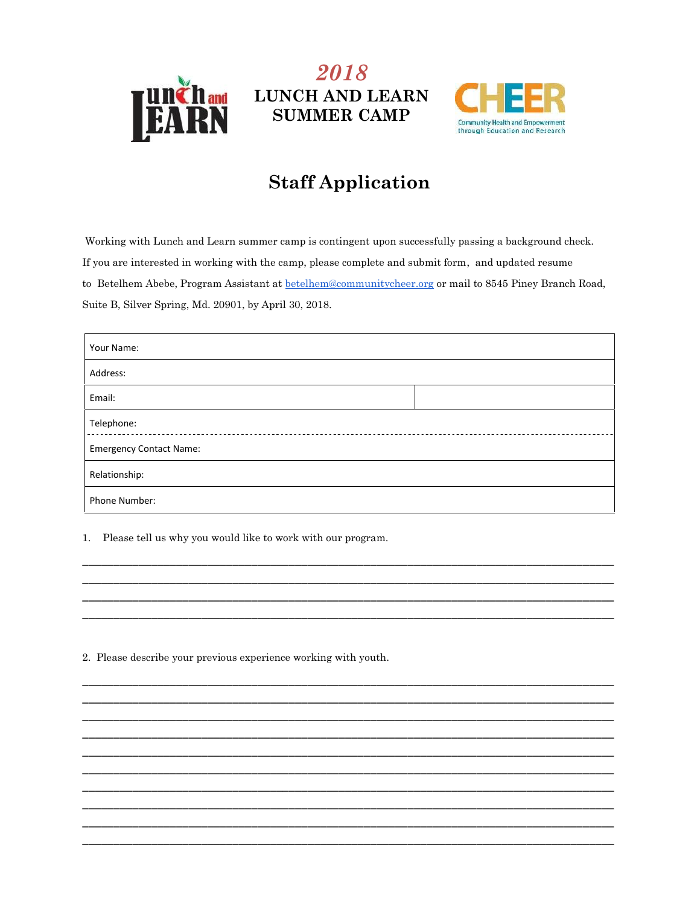

## 2018 **LUNCH AND LEARN SUMMER CAMP**



## **Staff Application**

Working with Lunch and Learn summer camp is contingent upon successfully passing a background check. If you are interested in working with the camp, please complete and submit form, and updated resume to Betelhem Abebe, Program Assistant at betelhem@communitycheer.org or mail to 8545 Piney Branch Road, Suite B, Silver Spring, Md. 20901, by April 30, 2018.

| Your Name:                     |  |  |  |  |  |
|--------------------------------|--|--|--|--|--|
| Address:                       |  |  |  |  |  |
| Email:                         |  |  |  |  |  |
| Telephone:                     |  |  |  |  |  |
| <b>Emergency Contact Name:</b> |  |  |  |  |  |
| Relationship:                  |  |  |  |  |  |
| Phone Number:                  |  |  |  |  |  |

1. Please tell us why you would like to work with our program.

2. Please describe your previous experience working with youth.